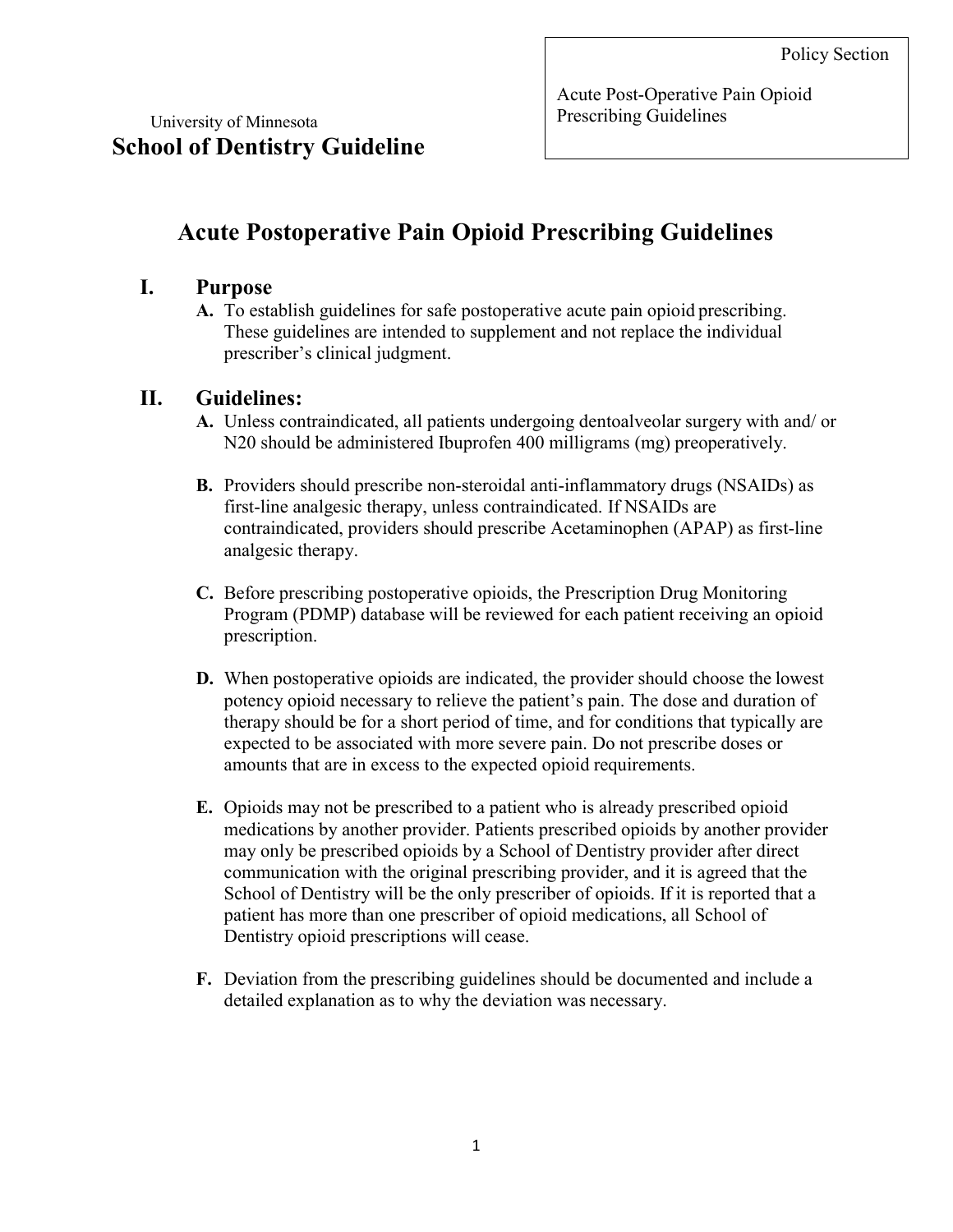Acute Post-Operative Pain Opioid Prescribing Guidelines

# Acute Postoperative Pain Opioid Prescribing Guidelines

### I. Purpose

A. To establish guidelines for safe postoperative acute pain opioid prescribing. These guidelines are intended to supplement and not replace the individual prescriber's clinical judgment.

## II. Guidelines:

- A. Unless contraindicated, all patients undergoing dentoalveolar surgery with and/ or N20 should be administered Ibuprofen 400 milligrams (mg) preoperatively.
- B. Providers should prescribe non-steroidal anti-inflammatory drugs (NSAIDs) as first-line analgesic therapy, unless contraindicated. If NSAIDs are contraindicated, providers should prescribe Acetaminophen (APAP) as first-line analgesic therapy.
- C. Before prescribing postoperative opioids, the Prescription Drug Monitoring Program (PDMP) database will be reviewed for each patient receiving an opioid prescription.
- D. When postoperative opioids are indicated, the provider should choose the lowest potency opioid necessary to relieve the patient's pain. The dose and duration of therapy should be for a short period of time, and for conditions that typically are expected to be associated with more severe pain. Do not prescribe doses or amounts that are in excess to the expected opioid requirements.
- E. Opioids may not be prescribed to a patient who is already prescribed opioid medications by another provider. Patients prescribed opioids by another provider may only be prescribed opioids by a School of Dentistry provider after direct communication with the original prescribing provider, and it is agreed that the School of Dentistry will be the only prescriber of opioids. If it is reported that a patient has more than one prescriber of opioid medications, all School of Dentistry opioid prescriptions will cease.
- F. Deviation from the prescribing guidelines should be documented and include a detailed explanation as to why the deviation was necessary.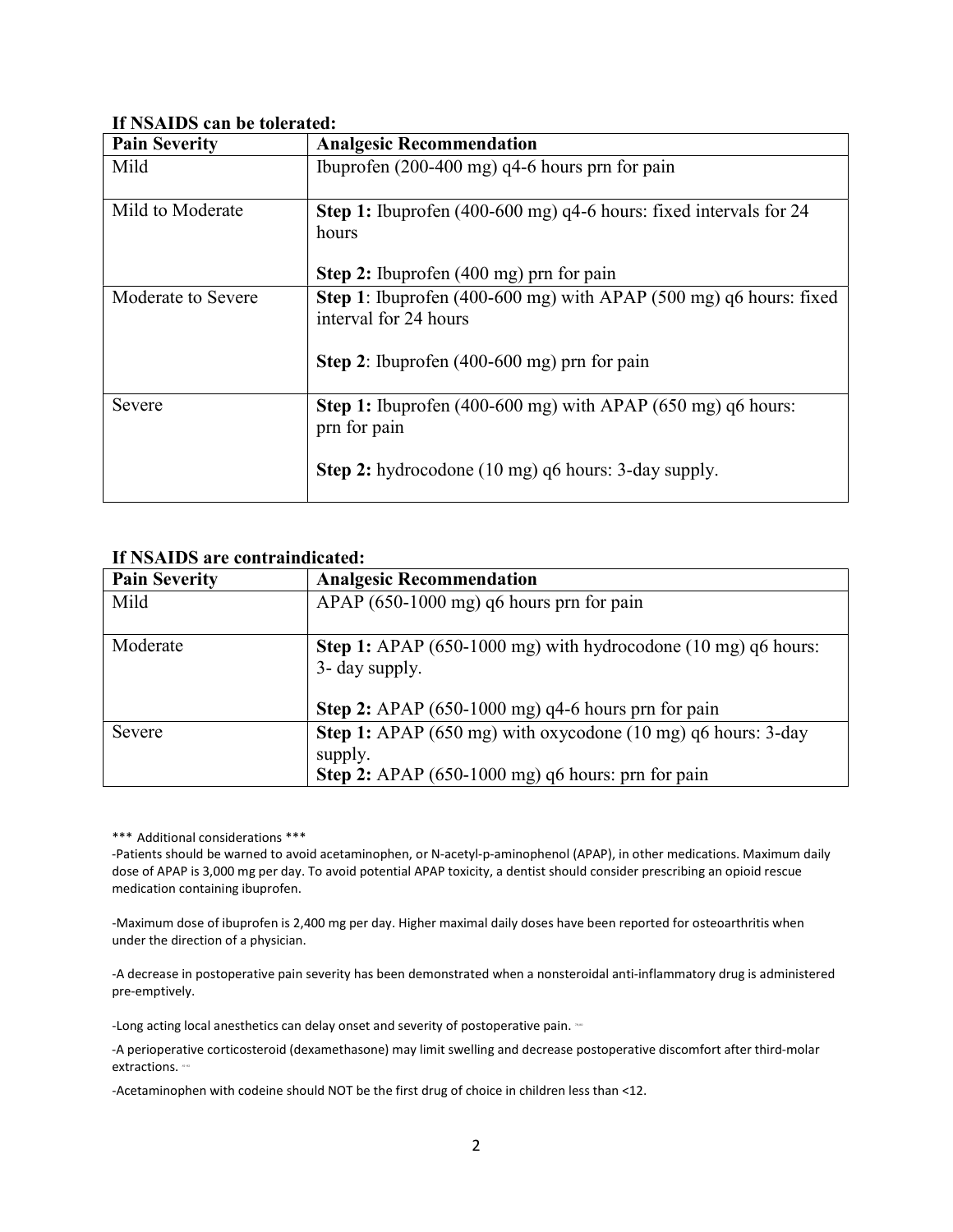#### If NSAIDS can be tolerated:

| <b>Pain Severity</b> | <b>Analgesic Recommendation</b>                                            |
|----------------------|----------------------------------------------------------------------------|
| Mild                 | Ibuprofen $(200-400 \text{ mg})$ q4-6 hours prn for pain                   |
|                      |                                                                            |
| Mild to Moderate     | Step 1: Ibuprofen (400-600 mg) q4-6 hours: fixed intervals for 24          |
|                      | hours                                                                      |
|                      |                                                                            |
|                      | Step 2: Ibuprofen (400 mg) prn for pain                                    |
| Moderate to Severe   | <b>Step 1:</b> Ibuprofen (400-600 mg) with APAP (500 mg) $q6$ hours: fixed |
|                      | interval for 24 hours                                                      |
|                      |                                                                            |
|                      | Step 2: Ibuprofen $(400-600 \text{ mg})$ prn for pain                      |
|                      |                                                                            |
| Severe               | <b>Step 1:</b> Ibuprofen (400-600 mg) with APAP (650 mg) $q6$ hours:       |
|                      | prn for pain                                                               |
|                      |                                                                            |
|                      | <b>Step 2:</b> hydrocodone (10 mg) q6 hours: 3-day supply.                 |
|                      |                                                                            |

#### If NSAIDS are contraindicated:

| <b>Pain Severity</b> | <b>Analgesic Recommendation</b>                                                                                                                 |
|----------------------|-------------------------------------------------------------------------------------------------------------------------------------------------|
| Mild                 | $APAP$ (650-1000 mg) q6 hours prn for pain                                                                                                      |
| Moderate             | Step 1: APAP (650-1000 mg) with hydrocodone (10 mg) q6 hours:<br>3- day supply.<br>Step 2: APAP $(650-1000 \text{ mg})$ q4-6 hours prn for pain |
| Severe               | Step 1: APAP (650 mg) with oxycodone (10 mg) q6 hours: 3-day<br>supply.<br>Step 2: APAP (650-1000 mg) q6 hours: prn for pain                    |

\*\*\* Additional considerations \*\*\*

-Patients should be warned to avoid acetaminophen, or N-acetyl-p-aminophenol (APAP), in other medications. Maximum daily dose of APAP is 3,000 mg per day. To avoid potential APAP toxicity, a dentist should consider prescribing an opioid rescue medication containing ibuprofen.

-Maximum dose of ibuprofen is 2,400 mg per day. Higher maximal daily doses have been reported for osteoarthritis when under the direction of a physician.

-A decrease in postoperative pain severity has been demonstrated when a nonsteroidal anti-inflammatory drug is administered pre-emptively.

-Long acting local anesthetics can delay onset and severity of postoperative pain.  $\infty$ 

-A perioperative corticosteroid (dexamethasone) may limit swelling and decrease postoperative discomfort after third-molar extractions.

-Acetaminophen with codeine should NOT be the first drug of choice in children less than <12.